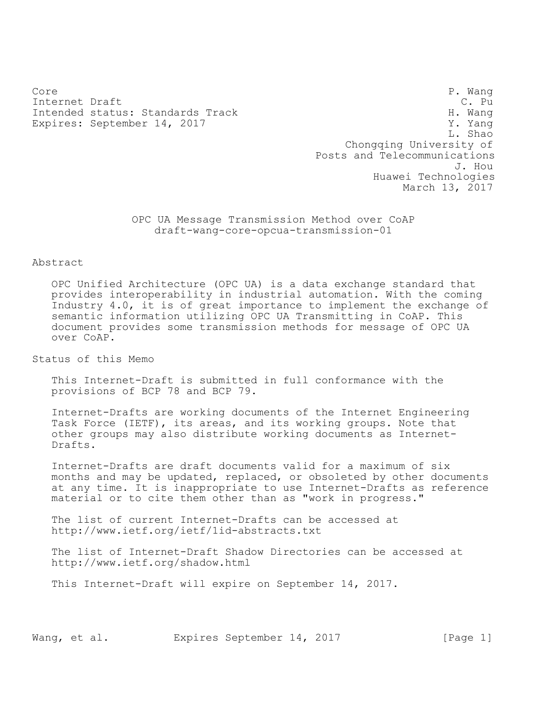Core P. Wang Internet Draft C. Pu Intended status: Standards Track H. Wang Expires: September 14, 2017 V. Yang

L. Shao Chongqing University of Posts and Telecommunications J. Hou Huawei Technologies March 13, 2017

OPC UA Message Transmission Method over CoAP draft-wang-core-opcua-transmission-01

Abstract

OPC Unified Architecture (OPC UA) is a data exchange standard that provides interoperability in industrial automation. With the coming Industry 4.0, it is of great importance to implement the exchange of semantic information utilizing OPC UA Transmitting in CoAP. This document provides some transmission methods for message of OPC UA over CoAP.

Status of this Memo

This Internet-Draft is submitted in full conformance with the provisions of BCP 78 and BCP 79.

Internet-Drafts are working documents of the Internet Engineering Task Force (IETF), its areas, and its working groups. Note that other groups may also distribute working documents as Internet-Drafts.

Internet-Drafts are draft documents valid for a maximum of six months and may be updated, replaced, or obsoleted by other documents at any time. It is inappropriate to use Internet-Drafts as reference material or to cite them other than as "work in progress."

The list of current Internet-Drafts can be accessed at http://www.ietf.org/ietf/1id-abstracts.txt

The list of Internet-Draft Shadow Directories can be accessed at http://www.ietf.org/shadow.html

This Internet-Draft will expire on September 14, 2017.

Wang, et al. Expires September 14, 2017 [Page 1]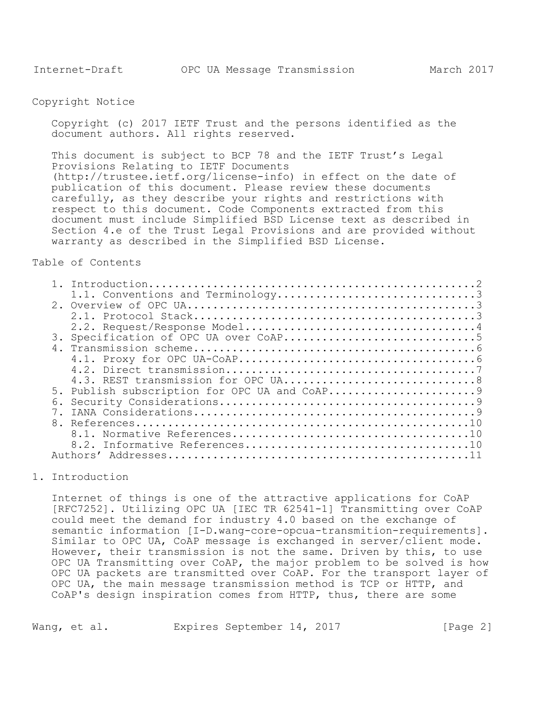# Copyright Notice

Copyright (c) 2017 IETF Trust and the persons identified as the document authors. All rights reserved.

This document is subject to BCP 78 and the IETF Trust's Legal Provisions Relating to IETF Documents (http://trustee.ietf.org/license-info) in effect on the date of publication of this document. Please review these documents carefully, as they describe your rights and restrictions with respect to this document. Code Components extracted from this document must include Simplified BSD License text as described in Section 4.e of the Trust Legal Provisions and are provided without warranty as described in the Simplified BSD License.

# Table of Contents

| 3. |                                              |
|----|----------------------------------------------|
| 4. |                                              |
|    |                                              |
|    |                                              |
|    |                                              |
|    | 5. Publish subscription for OPC UA and CoAP9 |
| რ. |                                              |
|    |                                              |
|    |                                              |
|    |                                              |
|    |                                              |
|    | Authors'                                     |

# <span id="page-1-0"></span>1. Introduction

Internet of things is one of the attractive applications for CoAP [RFC7252]. Utilizing OPC UA [IEC TR 62541-1] Transmitting over CoAP could meet the demand for industry 4.0 based on the exchange of semantic information [I-D.wang-core-opcua-transmition-requirements]. Similar to OPC UA, CoAP message is exchanged in server/client mode. However, their transmission is not the same. Driven by this, to use OPC UA Transmitting over CoAP, the major problem to be solved is how OPC UA packets are transmitted over CoAP. For the transport layer of OPC UA, the main message transmission method is TCP or HTTP, and CoAP's design inspiration comes from HTTP, thus, there are some

Wang, et al. Expires September 14, 2017 [Page 2]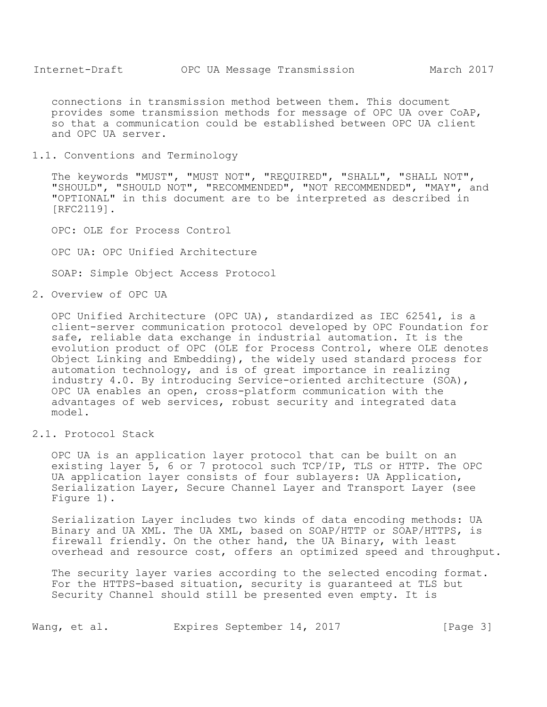connections in transmission method between them. This document provides some transmission methods for message of OPC UA over CoAP, so that a communication could be established between OPC UA client and OPC UA server.

<span id="page-2-0"></span>1.1. Conventions and Terminology

The keywords "MUST", "MUST NOT", "REQUIRED", "SHALL", "SHALL NOT", "SHOULD", "SHOULD NOT", "RECOMMENDED", "NOT RECOMMENDED", "MAY", and "OPTIONAL" in this document are to be interpreted as described in [RFC2119].

OPC: OLE for Process Control

OPC UA: OPC Unified Architecture

SOAP: Simple Object Access Protocol

<span id="page-2-1"></span>2. Overview of OPC UA

OPC Unified Architecture (OPC UA), standardized as IEC 62541, is a client-server communication protocol developed by OPC Foundation for safe, reliable data exchange in industrial automation. It is the evolution product of OPC (OLE for Process Control, where OLE denotes Object Linking and Embedding), the widely used standard process for automation technology, and is of great importance in realizing industry 4.0. By introducing Service-oriented architecture (SOA), OPC UA enables an open, cross-platform communication with the advantages of web services, robust security and integrated data model.

<span id="page-2-2"></span>2.1. Protocol Stack

OPC UA is an application layer protocol that can be built on an existing layer 5, 6 or 7 protocol such TCP/IP, TLS or HTTP. The OPC UA application layer consists of four sublayers: UA Application, Serialization Layer, Secure Channel Layer and Transport Layer (see Figure 1).

Serialization Layer includes two kinds of data encoding methods: UA Binary and UA XML. The UA XML, based on SOAP/HTTP or SOAP/HTTPS, is firewall friendly. On the other hand, the UA Binary, with least overhead and resource cost, offers an optimized speed and throughput.

The security layer varies according to the selected encoding format. For the HTTPS-based situation, security is guaranteed at TLS but Security Channel should still be presented even empty. It is

Wang, et al. Expires September 14, 2017 [Page 3]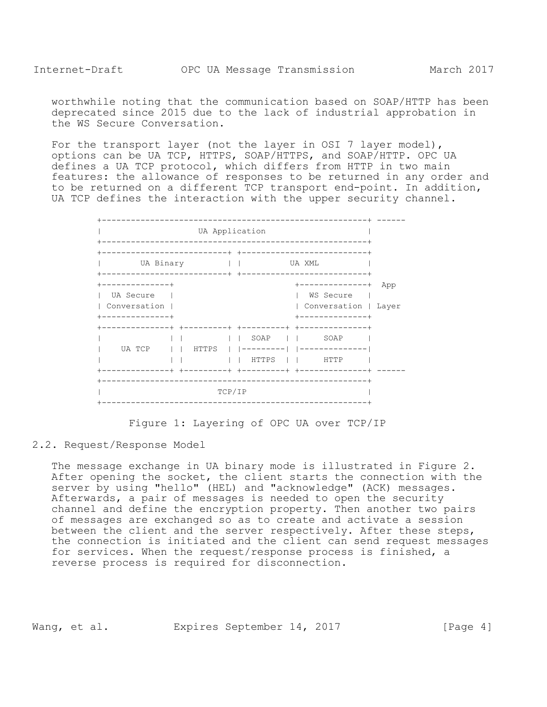worthwhile noting that the communication based on SOAP/HTTP has been deprecated since 2015 due to the lack of industrial approbation in the WS Secure Conversation.

For the transport layer (not the layer in OSI 7 layer model), options can be UA TCP, HTTPS, SOAP/HTTPS, and SOAP/HTTP. OPC UA defines a UA TCP protocol, which differs from HTTP in two main features: the allowance of responses to be returned in any order and to be returned on a different TCP transport end-point. In addition, UA TCP defines the interaction with the upper security channel.

| UA Binary      |  |           |  |  |       | UA XML |                                                                                                                                                                                                                                                                                                                                                                                                                        |     |
|----------------|--|-----------|--|--|-------|--------|------------------------------------------------------------------------------------------------------------------------------------------------------------------------------------------------------------------------------------------------------------------------------------------------------------------------------------------------------------------------------------------------------------------------|-----|
|                |  |           |  |  |       |        |                                                                                                                                                                                                                                                                                                                                                                                                                        |     |
| ------------+  |  |           |  |  |       |        | +--------------+                                                                                                                                                                                                                                                                                                                                                                                                       | App |
| UA Secure      |  |           |  |  |       |        | WS Secure                                                                                                                                                                                                                                                                                                                                                                                                              |     |
| Conversation   |  |           |  |  |       |        | Conversation   Layer                                                                                                                                                                                                                                                                                                                                                                                                   |     |
| . <u>.</u>     |  |           |  |  |       |        | ------------                                                                                                                                                                                                                                                                                                                                                                                                           |     |
| -------------+ |  |           |  |  |       |        | +--------+ +--------+ +------------                                                                                                                                                                                                                                                                                                                                                                                    |     |
|                |  |           |  |  |       |        | SOAP II SOAP                                                                                                                                                                                                                                                                                                                                                                                                           |     |
| UA TCP         |  | I I HTTPS |  |  |       |        | ---------   --------------                                                                                                                                                                                                                                                                                                                                                                                             |     |
|                |  |           |  |  | HTTPS |        | $\begin{array}{c c c c} & \text{I} & \text{I} & \text{I} & \text{I} & \text{I} & \text{I} & \text{I} & \text{I} & \text{I} & \text{I} & \text{I} & \text{I} & \text{I} & \text{I} & \text{I} & \text{I} & \text{I} & \text{I} & \text{I} & \text{I} & \text{I} & \text{I} & \text{I} & \text{I} & \text{I} & \text{I} & \text{I} & \text{I} & \text{I} & \text{I} & \text{I} & \text{I} & \text{I} & \text{I} & \text$ |     |
|                |  |           |  |  |       |        | --------+ +---------+ +------------                                                                                                                                                                                                                                                                                                                                                                                    |     |

Figure 1: Layering of OPC UA over TCP/IP

#### <span id="page-3-0"></span>2.2. Request/Response Model

The message exchange in UA binary mode is illustrated in Figure 2. After opening the socket, the client starts the connection with the server by using "hello" (HEL) and "acknowledge" (ACK) messages. Afterwards, a pair of messages is needed to open the security channel and define the encryption property. Then another two pairs of messages are exchanged so as to create and activate a session between the client and the server respectively. After these steps, the connection is initiated and the client can send request messages for services. When the request/response process is finished, a reverse process is required for disconnection.

Wang, et al. Expires September 14, 2017 [Page 4]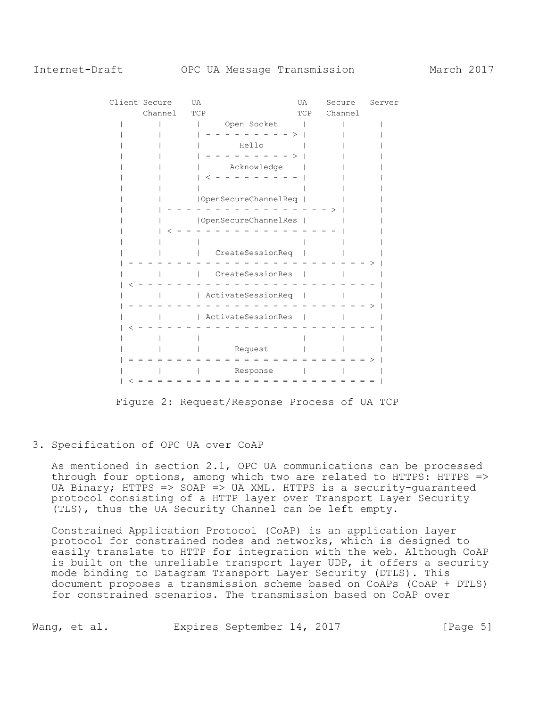| Client Secure |         | UA  |                      | UA  | Secure  | Server |
|---------------|---------|-----|----------------------|-----|---------|--------|
|               | Channel | TCP |                      | TCP | Channel |        |
|               |         |     | Open Socket          |     |         |        |
|               |         |     |                      |     |         |        |
|               |         |     | Hello                |     |         |        |
|               |         |     |                      |     |         |        |
|               |         |     | Acknowledge          |     |         |        |
|               |         |     |                      |     |         |        |
|               |         |     |                      |     |         |        |
|               |         |     | OpenSecureChannelReq |     |         |        |
|               |         |     |                      |     |         |        |
|               |         |     | OpenSecureChannelRes |     |         |        |
|               |         |     |                      |     |         |        |
|               |         |     |                      |     |         |        |
|               |         |     | CreateSessionReq     |     |         |        |
|               |         |     |                      |     |         |        |
|               |         |     | CreateSessionRes     |     |         |        |
|               |         |     |                      |     |         |        |
|               |         |     | ActivateSessionReq   |     |         |        |
|               |         |     |                      |     |         |        |
|               |         |     | ActivateSessionRes   |     |         |        |
|               |         |     |                      |     |         |        |
|               |         |     |                      |     |         |        |
|               |         |     | Request              |     |         |        |
|               |         |     |                      |     |         |        |
|               |         |     | Response             |     |         |        |
|               |         |     |                      |     |         |        |

Figure 2: Request/Response Process of UA TCP

#### <span id="page-4-0"></span>3. Specification of OPC UA over CoAP

As mentioned in section 2.1, OPC UA communications can be processed through four options, among which two are related to HTTPS: HTTPS => UA Binary; HTTPS => SOAP => UA XML. HTTPS is a security-guaranteed protocol consisting of a HTTP layer over Transport Layer Security (TLS), thus the UA Security Channel can be left empty.

Constrained Application Protocol (CoAP) is an application layer protocol for constrained nodes and networks, which is designed to easily translate to HTTP for integration with the web. Although CoAP is built on the unreliable transport layer UDP, it offers a security mode binding to Datagram Transport Layer Security (DTLS). This document proposes a transmission scheme based on CoAPs (CoAP + DTLS) for constrained scenarios. The transmission based on CoAP over

Wang, et al. Expires September 14, 2017 [Page 5]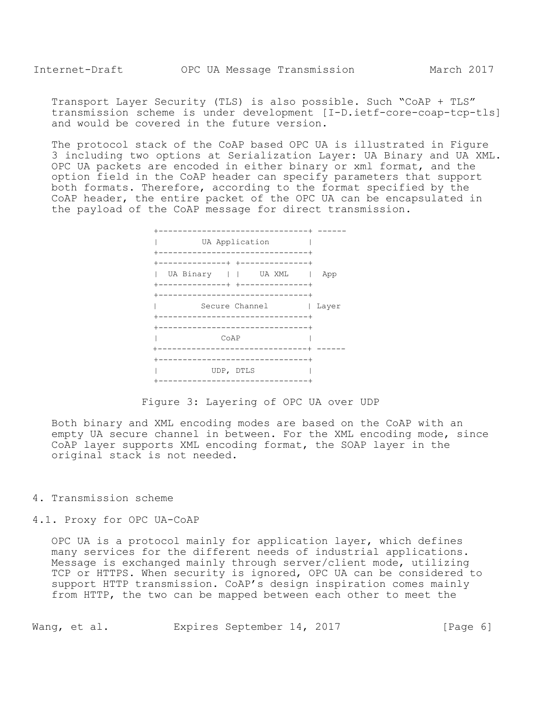Transport Layer Security (TLS) is also possible. Such "CoAP + TLS" transmission scheme is under development [I-D.ietf-core-coap-tcp-tls] and would be covered in the future version.

The protocol stack of the CoAP based OPC UA is illustrated in Figure 3 including two options at Serialization Layer: UA Binary and UA XML. OPC UA packets are encoded in either binary or xml format, and the option field in the CoAP header can specify parameters that support both formats. Therefore, according to the format specified by the CoAP header, the entire packet of the OPC UA can be encapsulated in the payload of the CoAP message for direct transmission.



Figure 3: Layering of OPC UA over UDP

Both binary and XML encoding modes are based on the CoAP with an empty UA secure channel in between. For the XML encoding mode, since CoAP layer supports XML encoding format, the SOAP layer in the original stack is not needed.

<span id="page-5-0"></span>4. Transmission scheme

<span id="page-5-1"></span>4.1. Proxy for OPC UA-CoAP

OPC UA is a protocol mainly for application layer, which defines many services for the different needs of industrial applications. Message is exchanged mainly through server/client mode, utilizing TCP or HTTPS. When security is ignored, OPC UA can be considered to support HTTP transmission. CoAP's design inspiration comes mainly from HTTP, the two can be mapped between each other to meet the

Wang, et al. Expires September 14, 2017 [Page 6]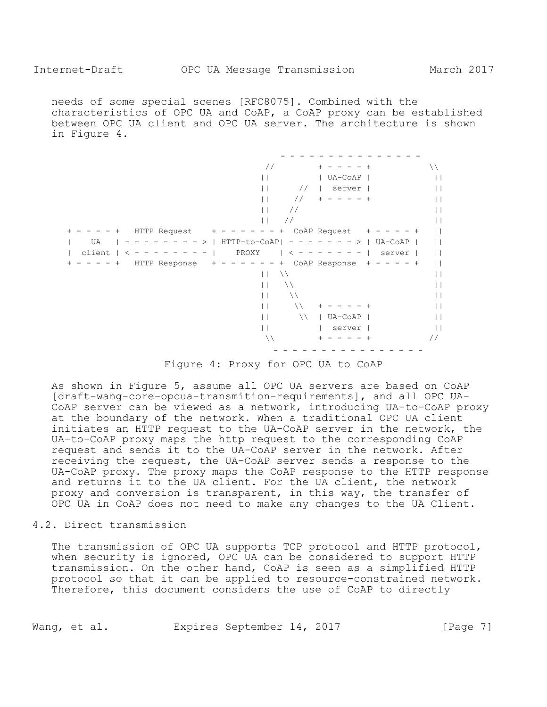needs of some special scenes [RFC8075]. Combined with the characteristics of OPC UA and CoAP, a CoAP proxy can be established between OPC UA client and OPC UA server. The architecture is shown in Figure 4.

|                          | $\frac{1}{2}$      | $^{+}$<br>$^{+}$        | ハ             |
|--------------------------|--------------------|-------------------------|---------------|
|                          |                    | UA-CoAP                 |               |
|                          | $\frac{1}{2}$      | server                  |               |
|                          | $\frac{1}{2}$      | $^{+}$                  |               |
|                          | $\frac{1}{2}$      |                         |               |
|                          | $\frac{1}{2}$<br>Н |                         |               |
| HTTP Request             | +                  | CoAP Request            |               |
| UA<br>HTTP-to-CoAP <br>> |                    | UA-CoAP<br>$\geq$<br>-  |               |
| client<br>PROXY          |                    | server                  |               |
| HTTP Response            | $^+$               | CoAP Response<br>$^{+}$ |               |
|                          | ハ                  |                         |               |
|                          | ハ                  |                         |               |
|                          | ヽ                  |                         |               |
|                          |                    |                         |               |
|                          | $\setminus$        | UA-CoAP                 |               |
|                          |                    | server                  |               |
|                          | ハ                  | $^+$                    | $\frac{1}{2}$ |
|                          |                    |                         |               |

Figure 4: Proxy for OPC UA to CoAP

As shown in Figure 5, assume all OPC UA servers are based on CoAP [draft-wang-core-opcua-transmition-requirements], and all OPC UA-CoAP server can be viewed as a network, introducing UA-to-CoAP proxy at the boundary of the network. When a traditional OPC UA client initiates an HTTP request to the UA-CoAP server in the network, the UA-to-CoAP proxy maps the http request to the corresponding CoAP request and sends it to the UA-CoAP server in the network. After receiving the request, the UA-CoAP server sends a response to the UA-CoAP proxy. The proxy maps the CoAP response to the HTTP response and returns it to the UA client. For the UA client, the network proxy and conversion is transparent, in this way, the transfer of OPC UA in CoAP does not need to make any changes to the UA Client.

<span id="page-6-0"></span>4.2. Direct transmission

The transmission of OPC UA supports TCP protocol and HTTP protocol, when security is ignored, OPC UA can be considered to support HTTP transmission. On the other hand, CoAP is seen as a simplified HTTP protocol so that it can be applied to resource-constrained network. Therefore, this document considers the use of CoAP to directly

Wang, et al. Expires September 14, 2017 [Page 7]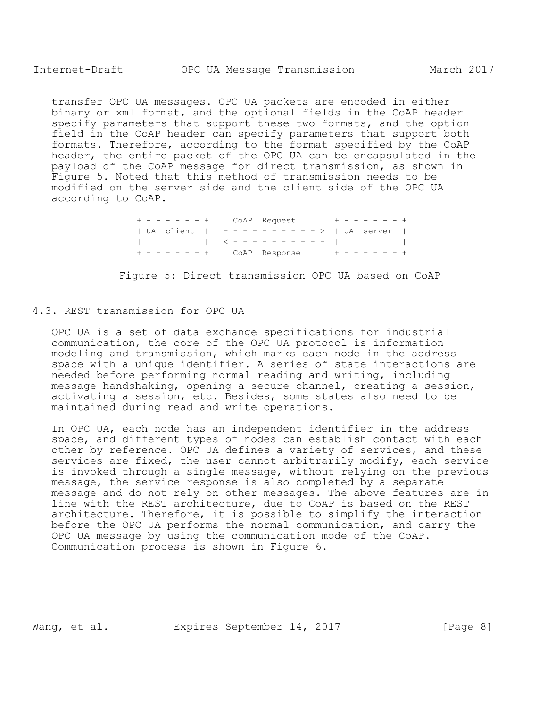transfer OPC UA messages. OPC UA packets are encoded in either binary or xml format, and the optional fields in the CoAP header specify parameters that support these two formats, and the option field in the CoAP header can specify parameters that support both formats. Therefore, according to the format specified by the CoAP header, the entire packet of the OPC UA can be encapsulated in the payload of the CoAP message for direct transmission, as shown in Figure 5. Noted that this method of transmission needs to be modified on the server side and the client side of the OPC UA according to CoAP.

> + - - - - - - + CoAP Request + - - - - - - + | UA client | - - - - - - - - - - > | UA server | | | < - - - - - - - - - - | | + - - - - - - + CoAP Response + - - - - - - +

Figure 5: Direct transmission OPC UA based on CoAP

### <span id="page-7-0"></span>4.3. REST transmission for OPC UA

OPC UA is a set of data exchange specifications for industrial communication, the core of the OPC UA protocol is information modeling and transmission, which marks each node in the address space with a unique identifier. A series of state interactions are needed before performing normal reading and writing, including message handshaking, opening a secure channel, creating a session, activating a session, etc. Besides, some states also need to be maintained during read and write operations.

In OPC UA, each node has an independent identifier in the address space, and different types of nodes can establish contact with each other by reference. OPC UA defines a variety of services, and these services are fixed, the user cannot arbitrarily modify, each service is invoked through a single message, without relying on the previous message, the service response is also completed by a separate message and do not rely on other messages. The above features are in line with the REST architecture, due to CoAP is based on the REST architecture. Therefore, it is possible to simplify the interaction before the OPC UA performs the normal communication, and carry the OPC UA message by using the communication mode of the CoAP. Communication process is shown in Figure 6.

Wang, et al. Expires September 14, 2017 [Page 8]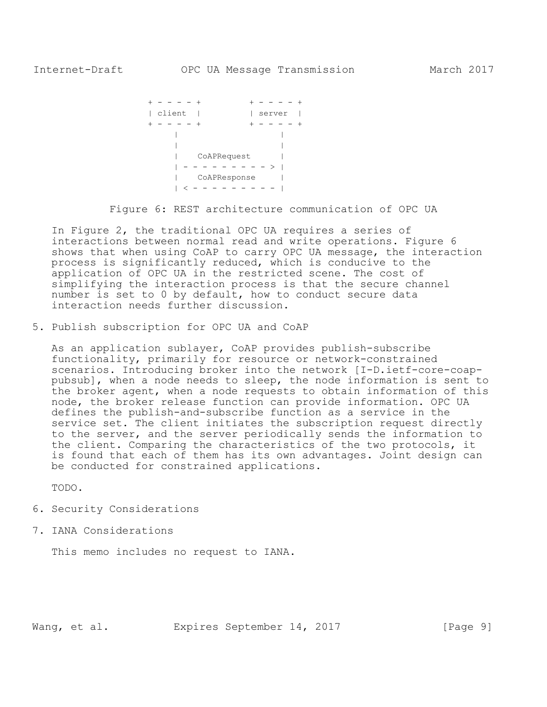```
+ - - - - + + - - - - + 
     | client | | | server |
     + - - - - + + - - - - +
         | |
| | 
| CoAPRequest |
        | - - - - - - - - - - - \rangle | | CoAPResponse |
          | < - - - - - - - - - |
```
Figure 6: REST architecture communication of OPC UA

In Figure 2, the traditional OPC UA requires a series of interactions between normal read and write operations. Figure 6 shows that when using CoAP to carry OPC UA message, the interaction process is significantly reduced, which is conducive to the application of OPC UA in the restricted scene. The cost of simplifying the interaction process is that the secure channel number is set to 0 by default, how to conduct secure data interaction needs further discussion.

<span id="page-8-0"></span>5. Publish subscription for OPC UA and CoAP

As an application sublayer, CoAP provides publish-subscribe functionality, primarily for resource or network-constrained scenarios. Introducing broker into the network [I-D.ietf-core-coappubsub], when a node needs to sleep, the node information is sent to the broker agent, when a node requests to obtain information of this node, the broker release function can provide information. OPC UA defines the publish-and-subscribe function as a service in the service set. The client initiates the subscription request directly to the server, and the server periodically sends the information to the client. Comparing the characteristics of the two protocols, it is found that each of them has its own advantages. Joint design can be conducted for constrained applications.

TODO.

- <span id="page-8-1"></span>6. Security Considerations
- <span id="page-8-2"></span>7. IANA Considerations

This memo includes no request to IANA.

Wang, et al. Expires September 14, 2017 [Page 9]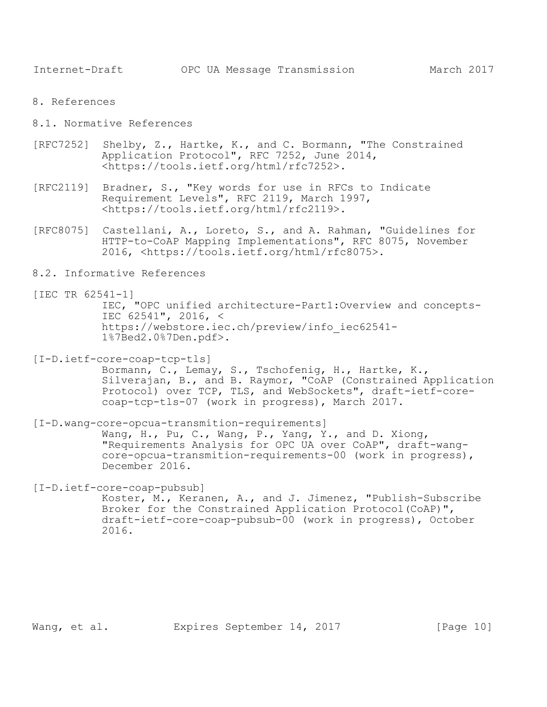- <span id="page-9-0"></span>8. References
- <span id="page-9-1"></span>8.1. Normative References
- [RFC7252] Shelby, Z., Hartke, K., and C. Bormann, "The Constrained Application Protocol", RFC 7252, June 2014, <https://tools.ietf.org/html/rfc7252>.
- [RFC2119] Bradner, S., "Key words for use in RFCs to Indicate Requirement Levels", RFC 2119, March 1997, <https://tools.ietf.org/html/rfc2119>.
- [RFC8075] Castellani, A., Loreto, S., and A. Rahman, "Guidelines for HTTP-to-CoAP Mapping Implementations", RFC 8075, November 2016, <https://tools.ietf.org/html/rfc8075>.
- <span id="page-9-2"></span>8.2. Informative References
- [IEC TR 62541-1]

IEC, "OPC unified architecture-Part1:Overview and concepts-IEC 62541", 2016, < https://webstore.iec.ch/preview/info\_iec62541- 1%7Bed2.0%7Den.pdf>.

[I-D.ietf-core-coap-tcp-tls]

Bormann, C., Lemay, S., Tschofenig, H., Hartke, K., Silverajan, B., and B. Raymor, "CoAP (Constrained Application Protocol) over TCP, TLS, and WebSockets", draft-ietf-corecoap-tcp-tls-07 (work in progress), March 2017.

[I-D.wang-core-opcua-transmition-requirements] Wang, H., Pu, C., Wang, P., Yang, Y., and D. Xiong, "Requirements Analysis for OPC UA over CoAP", draft-wang-

core-opcua-transmition-requirements-00 (work in progress), December 2016.

[I-D.ietf-core-coap-pubsub]

Koster, M., Keranen, A., and J. Jimenez, "Publish-Subscribe Broker for the Constrained Application Protocol(CoAP)", draft-ietf-core-coap-pubsub-00 (work in progress), October 2016.

Wang, et al. Expires September 14, 2017 [Page 10]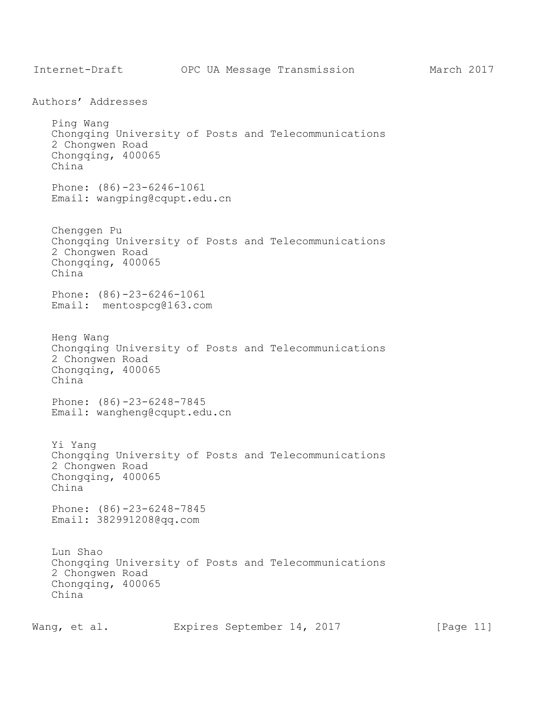<span id="page-10-0"></span>Internet-Draft OPC UA Message Transmission March 2017 Authors' Addresses Ping Wang Chongqing University of Posts and Telecommunications 2 Chongwen Road Chongqing, 400065 China Phone: (86)-23-6246-1061 Email: wangping@cqupt.edu.cn Chenggen Pu Chongqing University of Posts and Telecommunications 2 Chongwen Road Chongqing, 400065 China Phone: (86)-23-6246-1061 Email: mentospcg@163.com Heng Wang Chongqing University of Posts and Telecommunications 2 Chongwen Road Chongqing, 400065 China Phone: (86)-23-6248-7845 Email: wangheng@cqupt.edu.cn Yi Yang Chongqing University of Posts and Telecommunications 2 Chongwen Road Chongqing, 400065 China Phone: (86)-23-6248-7845 Email: 382991208@qq.com Lun Shao Chongqing University of Posts and Telecommunications 2 Chongwen Road Chongqing, 400065 China

Wang, et al. Expires September 14, 2017 [Page 11]